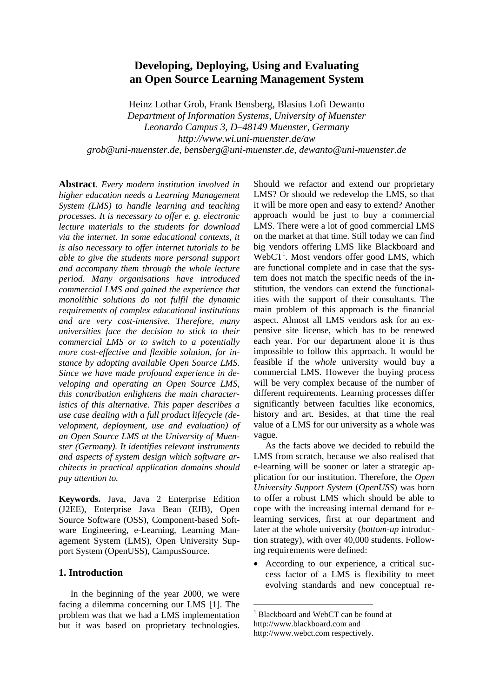# **Developing, Deploying, Using and Evaluating an Open Source Learning Management System**

Heinz Lothar Grob, Frank Bensberg, Blasius Lofi Dewanto *Department of Information Systems, University of Muenster Leonardo Campus 3, D*–*48149 Muenster, Germany http://www.wi.uni-muenster.de/aw grob@uni-muenster.de, bensberg@uni-muenster.de, dewanto@uni-muenster.de*

**Abstract**. *Every modern institution involved in higher education needs a Learning Management System (LMS) to handle learning and teaching processes. It is necessary to offer e. g. electronic lecture materials to the students for download via the internet. In some educational contexts, it is also necessary to offer internet tutorials to be able to give the students more personal support and accompany them through the whole lecture period. Many organisations have introduced commercial LMS and gained the experience that monolithic solutions do not fulfil the dynamic requirements of complex educational institutions and are very cost-intensive. Therefore, many universities face the decision to stick to their commercial LMS or to switch to a potentially more cost-effective and flexible solution, for instance by adopting available Open Source LMS. Since we have made profound experience in developing and operating an Open Source LMS, this contribution enlightens the main characteristics of this alternative. This paper describes a use case dealing with a full product lifecycle (development, deployment, use and evaluation) of an Open Source LMS at the University of Muenster (Germany). It identifies relevant instruments and aspects of system design which software architects in practical application domains should pay attention to.* 

**Keywords.** Java, Java 2 Enterprise Edition (J2EE), Enterprise Java Bean (EJB), Open Source Software (OSS), Component-based Software Engineering, e-Learning, Learning Management System (LMS), Open University Support System (OpenUSS), CampusSource.

# **1. Introduction**

In the beginning of the year 2000, we were facing a dilemma concerning our LMS [1]. The problem was that we had a LMS implementation but it was based on proprietary technologies. Should we refactor and extend our proprietary LMS? Or should we redevelop the LMS, so that it will be more open and easy to extend? Another approach would be just to buy a commercial LMS. There were a lot of good commercial LMS on the market at that time. Still today we can find big vendors offering LMS like Blackboard and WebCT<sup>1</sup>. Most vendors offer good LMS, which are functional complete and in case that the system does not match the specific needs of the institution, the vendors can extend the functionalities with the support of their consultants. The main problem of this approach is the financial aspect. Almost all LMS vendors ask for an expensive site license, which has to be renewed each year. For our department alone it is thus impossible to follow this approach. It would be feasible if the *whole* university would buy a commercial LMS. However the buying process will be very complex because of the number of different requirements. Learning processes differ significantly between faculties like economics, history and art. Besides, at that time the real value of a LMS for our university as a whole was vague.

As the facts above we decided to rebuild the LMS from scratch, because we also realised that e-learning will be sooner or later a strategic application for our institution. Therefore, the *Open University Support System* (*OpenUSS*) was born to offer a robust LMS which should be able to cope with the increasing internal demand for elearning services, first at our department and later at the whole university (*bottom-up* introduction strategy), with over 40,000 students. Following requirements were defined:

• According to our experience, a critical success factor of a LMS is flexibility to meet evolving standards and new conceptual re-

1 Blackboard and WebCT can be found at http://www.blackboard.com and http://www.webct.com respectively.

 $\overline{a}$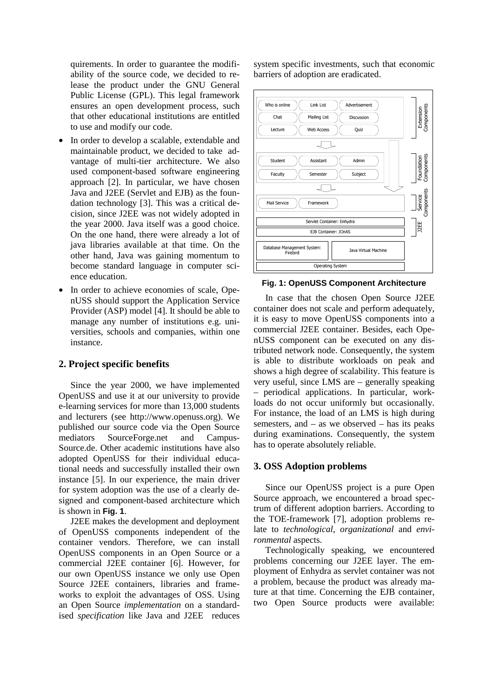quirements. In order to guarantee the modifiability of the source code, we decided to release the product under the GNU General Public License (GPL). This legal framework ensures an open development process, such that other educational institutions are entitled to use and modify our code.

- In order to develop a scalable, extendable and maintainable product, we decided to take advantage of multi-tier architecture. We also used component-based software engineering approach [2]. In particular, we have chosen Java and J2EE (Servlet and EJB) as the foundation technology [3]. This was a critical decision, since J2EE was not widely adopted in the year 2000. Java itself was a good choice. On the one hand, there were already a lot of java libraries available at that time. On the other hand, Java was gaining momentum to become standard language in computer science education.
- In order to achieve economies of scale, OpenUSS should support the Application Service Provider (ASP) model [4]. It should be able to manage any number of institutions e.g. universities, schools and companies, within one instance.

# **2. Project specific benefits**

Since the year 2000, we have implemented OpenUSS and use it at our university to provide e-learning services for more than 13,000 students and lecturers (see http://www.openuss.org). We published our source code via the Open Source mediators SourceForge.net and Campus-Source.de. Other academic institutions have also adopted OpenUSS for their individual educational needs and successfully installed their own instance [5]. In our experience, the main driver for system adoption was the use of a clearly designed and component-based architecture which is shown in **Fig. 1**.

J2EE makes the development and deployment of OpenUSS components independent of the container vendors. Therefore, we can install OpenUSS components in an Open Source or a commercial J2EE container [6]. However, for our own OpenUSS instance we only use Open Source J2EE containers, libraries and frameworks to exploit the advantages of OSS. Using an Open Source *implementation* on a standardised *specification* like Java and J2EE reduces

system specific investments, such that economic barriers of adoption are eradicated.



#### **Fig. 1: OpenUSS Component Architecture**

In case that the chosen Open Source J2EE container does not scale and perform adequately, it is easy to move OpenUSS components into a commercial J2EE container. Besides, each OpenUSS component can be executed on any distributed network node. Consequently, the system is able to distribute workloads on peak and shows a high degree of scalability. This feature is very useful, since LMS are – generally speaking – periodical applications. In particular, workloads do not occur uniformly but occasionally. For instance, the load of an LMS is high during semesters, and – as we observed – has its peaks during examinations. Consequently, the system has to operate absolutely reliable.

### **3. OSS Adoption problems**

Since our OpenUSS project is a pure Open Source approach, we encountered a broad spectrum of different adoption barriers. According to the TOE-framework [7], adoption problems relate to *technological*, *organizational* and *environmental* aspects.

Technologically speaking, we encountered problems concerning our J2EE layer. The employment of Enhydra as servlet container was not a problem, because the product was already mature at that time. Concerning the EJB container, two Open Source products were available: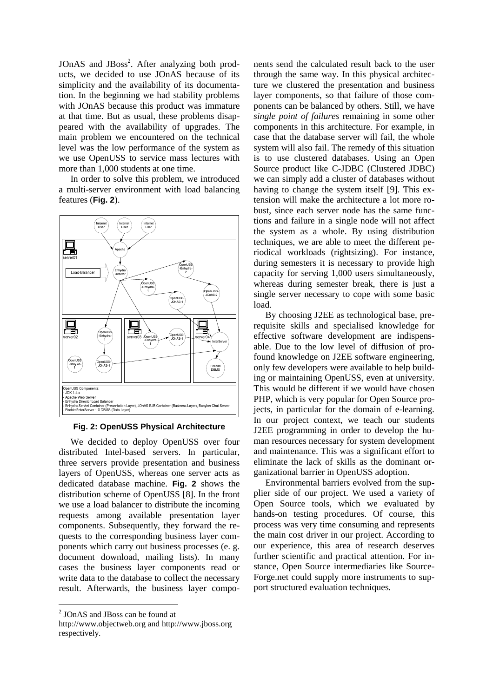JOnAS and JBoss<sup>2</sup>. After analyzing both products, we decided to use JOnAS because of its simplicity and the availability of its documentation. In the beginning we had stability problems with JOnAS because this product was immature at that time. But as usual, these problems disappeared with the availability of upgrades. The main problem we encountered on the technical level was the low performance of the system as we use OpenUSS to service mass lectures with more than 1,000 students at one time.

In order to solve this problem, we introduced a multi-server environment with load balancing features (**Fig. 2**).



**Fig. 2: OpenUSS Physical Architecture** 

We decided to deploy OpenUSS over four distributed Intel-based servers. In particular, three servers provide presentation and business layers of OpenUSS, whereas one server acts as dedicated database machine. **Fig. 2** shows the distribution scheme of OpenUSS [8]. In the front we use a load balancer to distribute the incoming requests among available presentation layer components. Subsequently, they forward the requests to the corresponding business layer components which carry out business processes (e. g. document download, mailing lists). In many cases the business layer components read or write data to the database to collect the necessary result. Afterwards, the business layer compo-

 $\overline{a}$ 

nents send the calculated result back to the user through the same way. In this physical architecture we clustered the presentation and business layer components, so that failure of those components can be balanced by others. Still, we have *single point of failures* remaining in some other components in this architecture. For example, in case that the database server will fail, the whole system will also fail. The remedy of this situation is to use clustered databases. Using an Open Source product like C-JDBC (Clustered JDBC) we can simply add a cluster of databases without having to change the system itself [9]. This extension will make the architecture a lot more robust, since each server node has the same functions and failure in a single node will not affect the system as a whole. By using distribution techniques, we are able to meet the different periodical workloads (rightsizing). For instance, during semesters it is necessary to provide high capacity for serving 1,000 users simultaneously, whereas during semester break, there is just a single server necessary to cope with some basic load.

By choosing J2EE as technological base, prerequisite skills and specialised knowledge for effective software development are indispensable. Due to the low level of diffusion of profound knowledge on J2EE software engineering, only few developers were available to help building or maintaining OpenUSS, even at university. This would be different if we would have chosen PHP, which is very popular for Open Source projects, in particular for the domain of e-learning. In our project context, we teach our students J2EE programming in order to develop the human resources necessary for system development and maintenance. This was a significant effort to eliminate the lack of skills as the dominant organizational barrier in OpenUSS adoption.

Environmental barriers evolved from the supplier side of our project. We used a variety of Open Source tools, which we evaluated by hands-on testing procedures. Of course, this process was very time consuming and represents the main cost driver in our project. According to our experience, this area of research deserves further scientific and practical attention. For instance, Open Source intermediaries like Source-Forge.net could supply more instruments to support structured evaluation techniques.

<sup>&</sup>lt;sup>2</sup> JOnAS and JBoss can be found at

http://www.objectweb.org and http://www.jboss.org respectively.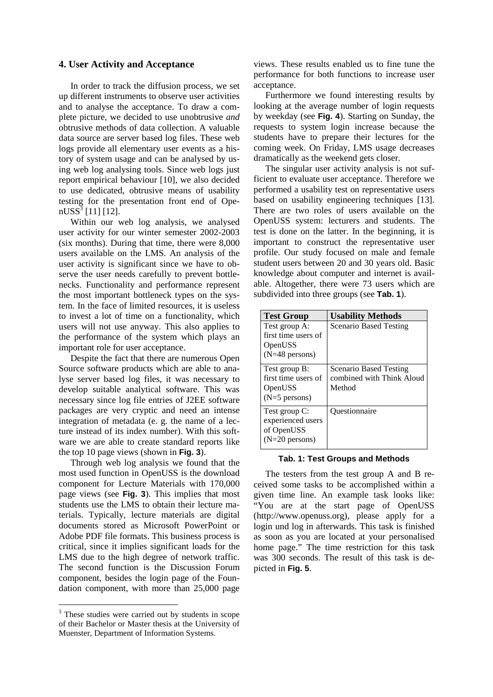# **4. User Activity and Acceptance**

In order to track the diffusion process, we set up different instruments to observe user activities and to analyse the acceptance. To draw a complete picture, we decided to use unobtrusive *and*  obtrusive methods of data collection. A valuable data source are server based log files. These web logs provide all elementary user events as a history of system usage and can be analysed by using web log analysing tools. Since web logs just report empirical behaviour [10], we also decided to use dedicated, obtrusive means of usability testing for the presentation front end of Ope $nUSS^3$  [11] [12].

Within our web log analysis, we analysed user activity for our winter semester 2002-2003 (six months). During that time, there were 8,000 users available on the LMS. An analysis of the user activity is significant since we have to observe the user needs carefully to prevent bottlenecks. Functionality and performance represent the most important bottleneck types on the system. In the face of limited resources, it is useless to invest a lot of time on a functionality, which users will not use anyway. This also applies to the performance of the system which plays an important role for user acceptance.

Despite the fact that there are numerous Open Source software products which are able to analyse server based log files, it was necessary to develop suitable analytical software. This was necessary since log file entries of J2EE software packages are very cryptic and need an intense integration of metadata (e. g. the name of a lecture instead of its index number). With this software we are able to create standard reports like the top 10 page views (shown in **Fig. 3**).

Through web log analysis we found that the most used function in OpenUSS is the download component for Lecture Materials with 170,000 page views (see **Fig. 3**). This implies that most students use the LMS to obtain their lecture materials. Typically, lecture materials are digital documents stored as Microsoft PowerPoint or Adobe PDF file formats. This business process is critical, since it implies significant loads for the LMS due to the high degree of network traffic. The second function is the Discussion Forum component, besides the login page of the Foundation component, with more than 25,000 page

 $\overline{a}$ 

views. These results enabled us to fine tune the performance for both functions to increase user acceptance.

Furthermore we found interesting results by looking at the average number of login requests by weekday (see **Fig. 4**). Starting on Sunday, the requests to system login increase because the students have to prepare their lectures for the coming week. On Friday, LMS usage decreases dramatically as the weekend gets closer.

The singular user activity analysis is not sufficient to evaluate user acceptance. Therefore we performed a usability test on representative users based on usability engineering techniques [13]. There are two roles of users available on the OpenUSS system: lecturers and students. The test is done on the latter. In the beginning, it is important to construct the representative user profile. Our study focused on male and female student users between 20 and 30 years old. Basic knowledge about computer and internet is available. Altogether, there were 73 users which are subdivided into three groups (see **Tab. 1**).

| <b>Test Group</b>                                                            | <b>Usability Methods</b>                                             |
|------------------------------------------------------------------------------|----------------------------------------------------------------------|
| Test group A:<br>first time users of<br>OpenUSS<br>$(N=48 \text{ persons})$  | <b>Scenario Based Testing</b>                                        |
| Test group B:<br>first time users of<br>OpenUSS<br>$(N=5$ persons)           | <b>Scenario Based Testing</b><br>combined with Think Aloud<br>Method |
| Test group C:<br>experienced users<br>of OpenUSS<br>$(N=20 \text{ persons})$ | <i><u><b>Ouestionnaire</b></u></i>                                   |

## **Tab. 1: Test Groups and Methods**

The testers from the test group A and B received some tasks to be accomplished within a given time line. An example task looks like: "You are at the start page of OpenUSS (http://www.openuss.org), please apply for a login und log in afterwards. This task is finished as soon as you are located at your personalised home page." The time restriction for this task was 300 seconds. The result of this task is depicted in **Fig. 5**.

<sup>&</sup>lt;sup>3</sup> These studies were carried out by students in scope of their Bachelor or Master thesis at the University of Muenster, Department of Information Systems.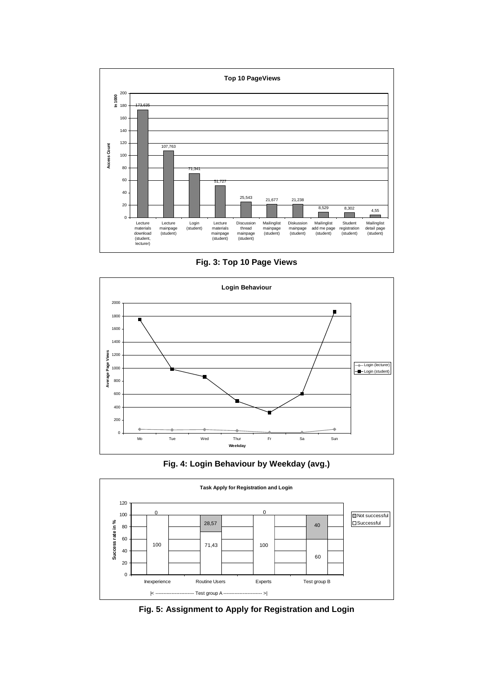

**Fig. 3: Top 10 Page Views** 



**Fig. 4: Login Behaviour by Weekday (avg.)** 



**Fig. 5: Assignment to Apply for Registration and Login**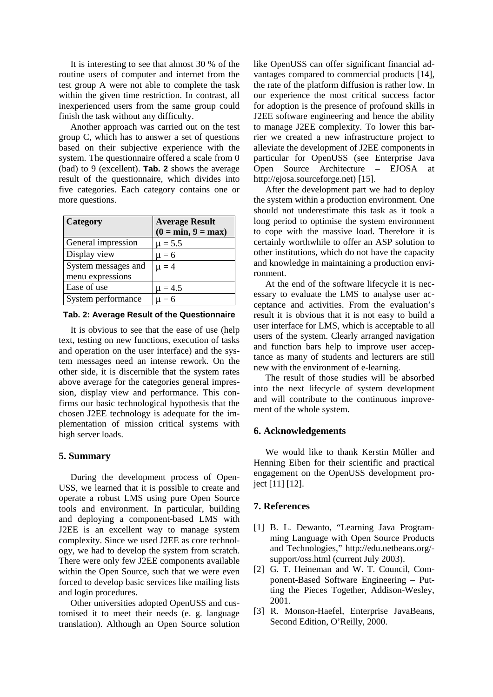It is interesting to see that almost 30 % of the routine users of computer and internet from the test group A were not able to complete the task within the given time restriction. In contrast, all inexperienced users from the same group could finish the task without any difficulty.

Another approach was carried out on the test group C, which has to answer a set of questions based on their subjective experience with the system. The questionnaire offered a scale from 0 (bad) to 9 (excellent). **Tab. 2** shows the average result of the questionnaire, which divides into five categories. Each category contains one or more questions.

| Category            | <b>Average Result</b><br>$(0 = min, 9 = max)$ |
|---------------------|-----------------------------------------------|
| General impression  | $\mu = 5.5$                                   |
| Display view        | $\mu = 6$                                     |
| System messages and | $\mu = 4$                                     |
| menu expressions    |                                               |
| Ease of use         | $\mu = 4.5$                                   |
| System performance  | $\mu = 6$                                     |

#### **Tab. 2: Average Result of the Questionnaire**

It is obvious to see that the ease of use (help text, testing on new functions, execution of tasks and operation on the user interface) and the system messages need an intense rework. On the other side, it is discernible that the system rates above average for the categories general impression, display view and performance. This confirms our basic technological hypothesis that the chosen J2EE technology is adequate for the implementation of mission critical systems with high server loads.

### **5. Summary**

During the development process of Open-USS, we learned that it is possible to create and operate a robust LMS using pure Open Source tools and environment. In particular, building and deploying a component-based LMS with J2EE is an excellent way to manage system complexity. Since we used J2EE as core technology, we had to develop the system from scratch. There were only few J2EE components available within the Open Source, such that we were even forced to develop basic services like mailing lists and login procedures.

Other universities adopted OpenUSS and customised it to meet their needs (e. g. language translation). Although an Open Source solution like OpenUSS can offer significant financial advantages compared to commercial products [14], the rate of the platform diffusion is rather low. In our experience the most critical success factor for adoption is the presence of profound skills in J2EE software engineering and hence the ability to manage J2EE complexity. To lower this barrier we created a new infrastructure project to alleviate the development of J2EE components in particular for OpenUSS (see Enterprise Java Open Source Architecture – EJOSA at http://ejosa.sourceforge.net) [15].

After the development part we had to deploy the system within a production environment. One should not underestimate this task as it took a long period to optimise the system environment to cope with the massive load. Therefore it is certainly worthwhile to offer an ASP solution to other institutions, which do not have the capacity and knowledge in maintaining a production environment.

At the end of the software lifecycle it is necessary to evaluate the LMS to analyse user acceptance and activities. From the evaluation's result it is obvious that it is not easy to build a user interface for LMS, which is acceptable to all users of the system. Clearly arranged navigation and function bars help to improve user acceptance as many of students and lecturers are still new with the environment of e-learning.

The result of those studies will be absorbed into the next lifecycle of system development and will contribute to the continuous improvement of the whole system.

### **6. Acknowledgements**

We would like to thank Kerstin Müller and Henning Eiben for their scientific and practical engagement on the OpenUSS development project [11] [12].

# **7. References**

- [1] B. L. Dewanto, "Learning Java Programming Language with Open Source Products and Technologies," http://edu.netbeans.org/ support/oss.html (current July 2003).
- [2] G. T. Heineman and W. T. Council, Component-Based Software Engineering – Putting the Pieces Together, Addison-Wesley, 2001.
- [3] R. Monson-Haefel, Enterprise JavaBeans, Second Edition, O'Reilly, 2000.